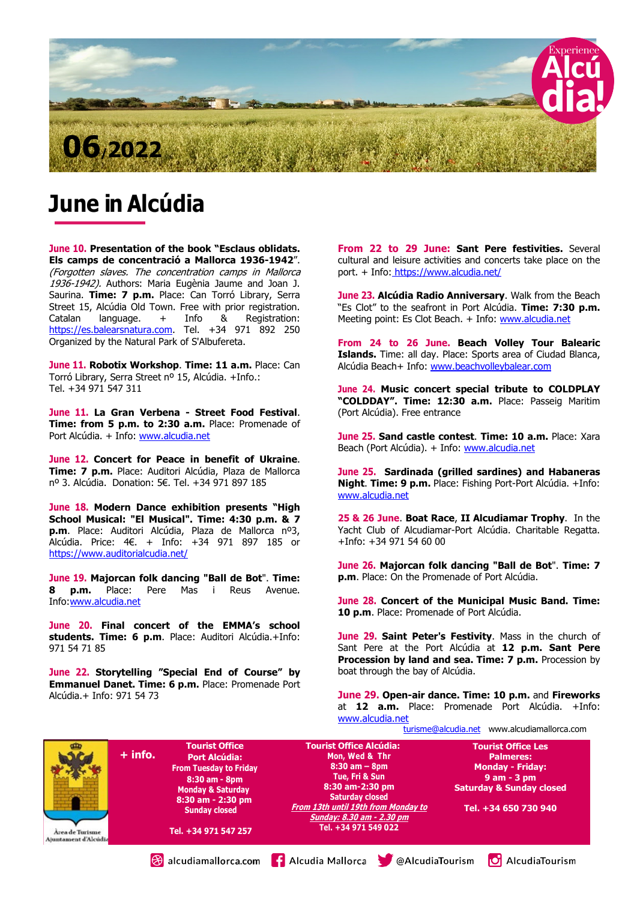

# June in Alcúdia

June 10. Presentation of the book "Esclaus oblidats. Els camps de concentració a Mallorca 1936-1942". (Forgotten slaves. The concentration camps in Mallorca 1936-1942). Authors: Maria Eugènia Jaume and Joan J. Saurina. Time: 7 p.m. Place: Can Torró Library, Serra Street 15, Alcúdia Old Town. Free with prior registration. Catalan language. + Info & Registration: https://es.balearsnatura.com. Tel. +34 971 892 250 Organized by the Natural Park of S'Albufereta.

June 11. Robotix Workshop. Time: 11 a.m. Place: Can Torró Library, Serra Street nº 15, Alcúdia. +Info.: Tel. +34 971 547 311

June 11. La Gran Verbena - Street Food Festival. Time: from 5 p.m. to 2:30 a.m. Place: Promenade of Port Alcúdia. + Info: www.alcudia.net

June 12. Concert for Peace in benefit of Ukraine. Time: 7 p.m. Place: Auditori Alcúdia, Plaza de Mallorca nº 3. Alcúdia. Donation: 5€. Tel. +34 971 897 185

June 18. Modern Dance exhibition presents "High School Musical: "El Musical". Time: 4:30 p.m. & 7 p.m. Place: Auditori Alcúdia, Plaza de Mallorca nº3, Alcúdia. Price: 4€. + Info: +34 971 897 185 or https://www.auditorialcudia.net/

June 19. Majorcan folk dancing "Ball de Bot". Time: 8 p.m. Place: Pere Mas i Reus Avenue. Info:www.alcudia.net

June 20. Final concert of the EMMA's school students. Time: 6 p.m. Place: Auditori Alcúdia.+Info: 971 54 71 85

June 22. Storytelling "Special End of Course" by Emmanuel Danet. Time: 6 p.m. Place: Promenade Port Alcúdia.+ Info: 971 54 73

From 22 to 29 June: Sant Pere festivities. Several cultural and leisure activities and concerts take place on the port. + Info: https://www.alcudia.net/

June 23. Alcúdia Radio Anniversary. Walk from the Beach "Es Clot" to the seafront in Port Alcúdia. Time: 7:30 p.m. Meeting point: Es Clot Beach. + Info: www.alcudia.net

From 24 to 26 June. Beach Volley Tour Balearic Islands. Time: all day. Place: Sports area of Ciudad Blanca, Alcúdia Beach+ Info: www.beachvolleybalear.com

June 24. Music concert special tribute to COLDPLAY "COLDDAY". Time: 12:30 a.m. Place: Passeig Maritim (Port Alcúdia). Free entrance

June 25. Sand castle contest. Time: 10 a.m. Place: Xara Beach (Port Alcúdia). + Info: www.alcudia.net

June 25. Sardinada (grilled sardines) and Habaneras Night. Time: 9 p.m. Place: Fishing Port-Port Alcúdia. +Info: www.alcudia.net

25 & 26 June. Boat Race, II Alcudiamar Trophy. In the Yacht Club of Alcudiamar-Port Alcúdia. Charitable Regatta. +Info: +34 971 54 60 00

June 26. Majorcan folk dancing "Ball de Bot". Time: 7 p.m. Place: On the Promenade of Port Alcúdia.

June 28. Concert of the Municipal Music Band. Time: 10 p.m. Place: Promenade of Port Alcúdia.

June 29. Saint Peter's Festivity. Mass in the church of Sant Pere at the Port Alcúdia at 12 p.m. Sant Pere Procession by land and sea. Time: 7 p.m. Procession by boat through the bay of Alcúdia.

June 29. Open-air dance. Time: 10 p.m. and Fireworks at 12 a.m. Place: Promenade Port Alcúdia. +Info: www.alcudia.net

turisme@alcudia.net www.alcudiamallorca.com